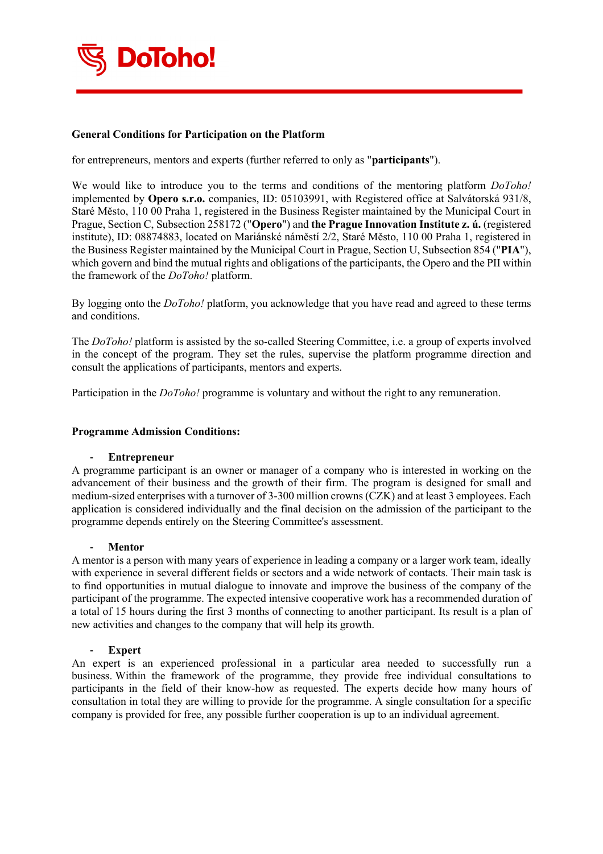

# **General Conditions for Participation on the Platform**

for entrepreneurs, mentors and experts (further referred to only as "**participants**").

We would like to introduce you to the terms and conditions of the mentoring platform *DoToho!* implemented by **Opero s.r.o.** companies, ID: 05103991, with Registered office at Salvátorská 931/8, Staré Město, 110 00 Praha 1, registered in the Business Register maintained by the Municipal Court in Prague, Section C, Subsection 258172 ("**Opero**") and **the Prague Innovation Institute z. ú.** (registered institute), ID: 08874883, located on Mariánské náměstí 2/2, Staré Město, 110 00 Praha 1, registered in the Business Register maintained by the Municipal Court in Prague, Section U, Subsection 854 ("**PIA**"), which govern and bind the mutual rights and obligations of the participants, the Opero and the PII within the framework of the *DoToho!* platform.

By logging onto the *DoToho!* platform, you acknowledge that you have read and agreed to these terms and conditions.

The *DoToho!* platform is assisted by the so-called Steering Committee, i.e. a group of experts involved in the concept of the program. They set the rules, supervise the platform programme direction and consult the applications of participants, mentors and experts.

Participation in the *DoToho!* programme is voluntary and without the right to any remuneration.

#### **Programme Admission Conditions:**

#### **- Entrepreneur**

A programme participant is an owner or manager of a company who is interested in working on the advancement of their business and the growth of their firm. The program is designed for small and medium-sized enterprises with a turnover of 3-300 million crowns (CZK) and at least 3 employees. Each application is considered individually and the final decision on the admission of the participant to the programme depends entirely on the Steering Committee's assessment.

#### **- Mentor**

A mentor is a person with many years of experience in leading a company or a larger work team, ideally with experience in several different fields or sectors and a wide network of contacts. Their main task is to find opportunities in mutual dialogue to innovate and improve the business of the company of the participant of the programme. The expected intensive cooperative work has a recommended duration of a total of 15 hours during the first 3 months of connecting to another participant. Its result is a plan of new activities and changes to the company that will help its growth.

## **- Expert**

An expert is an experienced professional in a particular area needed to successfully run a business. Within the framework of the programme, they provide free individual consultations to participants in the field of their know-how as requested. The experts decide how many hours of consultation in total they are willing to provide for the programme. A single consultation for a specific company is provided for free, any possible further cooperation is up to an individual agreement.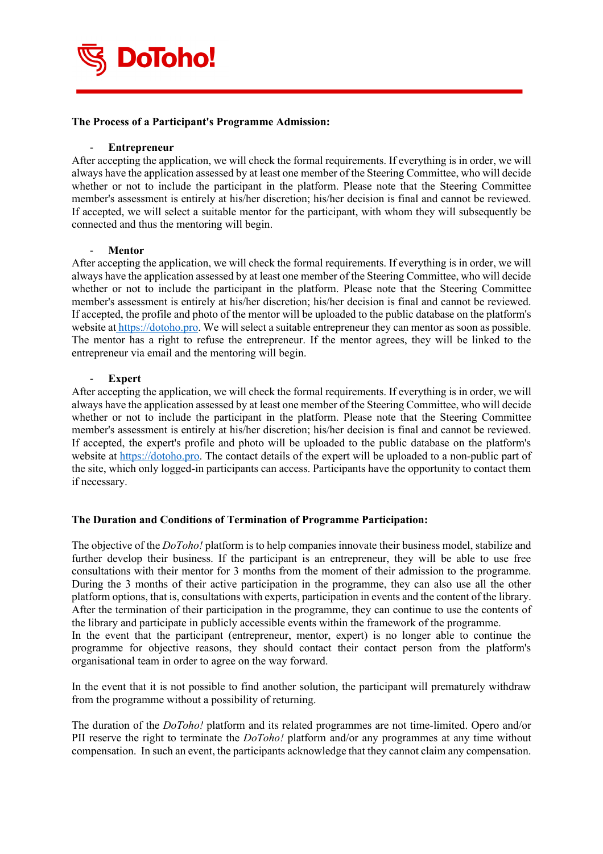

## **The Process of a Participant's Programme Admission:**

#### - **Entrepreneur**

After accepting the application, we will check the formal requirements. If everything is in order, we will always have the application assessed by at least one member of the Steering Committee, who will decide whether or not to include the participant in the platform. Please note that the Steering Committee member's assessment is entirely at his/her discretion; his/her decision is final and cannot be reviewed. If accepted, we will select a suitable mentor for the participant, with whom they will subsequently be connected and thus the mentoring will begin.

#### - **Mentor**

After accepting the application, we will check the formal requirements. If everything is in order, we will always have the application assessed by at least one member of the Steering Committee, who will decide whether or not to include the participant in the platform. Please note that the Steering Committee member's assessment is entirely at his/her discretion; his/her decision is final and cannot be reviewed. If accepted, the profile and photo of the mentor will be uploaded to the public database on the platform's website at https://dotoho.pro. We will select a suitable entrepreneur they can mentor as soon as possible. The mentor has a right to refuse the entrepreneur. If the mentor agrees, they will be linked to the entrepreneur via email and the mentoring will begin.

### - **Expert**

After accepting the application, we will check the formal requirements. If everything is in order, we will always have the application assessed by at least one member of the Steering Committee, who will decide whether or not to include the participant in the platform. Please note that the Steering Committee member's assessment is entirely at his/her discretion; his/her decision is final and cannot be reviewed. If accepted, the expert's profile and photo will be uploaded to the public database on the platform's website at https://dotoho.pro. The contact details of the expert will be uploaded to a non-public part of the site, which only logged-in participants can access. Participants have the opportunity to contact them if necessary.

## **The Duration and Conditions of Termination of Programme Participation:**

organisational team in order to agree on the way forward.

The objective of the *DoToho!* platform is to help companies innovate their business model, stabilize and further develop their business. If the participant is an entrepreneur, they will be able to use free consultations with their mentor for 3 months from the moment of their admission to the programme. During the 3 months of their active participation in the programme, they can also use all the other platform options, that is, consultations with experts, participation in events and the content of the library. After the termination of their participation in the programme, they can continue to use the contents of the library and participate in publicly accessible events within the framework of the programme. In the event that the participant (entrepreneur, mentor, expert) is no longer able to continue the programme for objective reasons, they should contact their contact person from the platform's

In the event that it is not possible to find another solution, the participant will prematurely withdraw from the programme without a possibility of returning.

The duration of the *DoToho!* platform and its related programmes are not time-limited. Opero and/or PII reserve the right to terminate the *DoToho!* platform and/or any programmes at any time without compensation. In such an event, the participants acknowledge that they cannot claim any compensation.